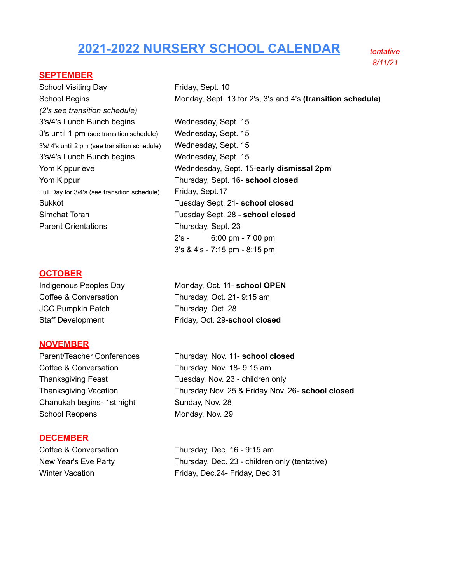# **2021-2022 NURSERY SCHOOL CALENDAR** *tentative*

*8/11/21*

## **SEPTEMBER**

School Visiting Day Friday, Sept. 10 School Begins **Monday, Sept. 13 for 2's, 3's and 4's (transition schedule)** *(2's see transition schedule)* 3's/4's Lunch Bunch begins Wednesday, Sept. 15 3's until 1 pm (see transition schedule) Wednesday, Sept. 15 3's/ 4's until 2 pm (see transition schedule) Wednesday, Sept. 15 3's/4's Lunch Bunch begins Wednesday, Sept. 15 Yom Kippur eve Wedndesday, Sept. 15-**early dismissal 2pm** Yom Kippur Thursday, Sept. 16- **school closed** Full Day for 3/4's (see transition schedule) Friday, Sept.17 Sukkot Tuesday Sept. 21- **school closed** Simchat Torah Tuesday Sept. 28 - **school closed** Parent Orientations Thursday, Sept. 23 2's - 6:00 pm - 7:00 pm

## **OCTOBER**

JCC Pumpkin Patch Thursday, Oct. 28

## **NOVEMBER**

Coffee & Conversation Thursday, Nov. 18- 9:15 am Chanukah begins- 1st night Sunday, Nov. 28 School Reopens Monday, Nov. 29

#### **DECEMBER**

Indigenous Peoples Day Monday, Oct. 11- **school OPEN** Coffee & Conversation Thursday, Oct. 21- 9:15 am Staff Development Friday, Oct. 29-**school closed**

3's & 4's - 7:15 pm - 8:15 pm

Parent/Teacher Conferences Thursday, Nov. 11- **school closed** Thanksgiving Feast Tuesday, Nov. 23 - children only Thanksgiving Vacation Thursday Nov. 25 & Friday Nov. 26- **school closed**

Coffee & Conversation Thursday, Dec. 16 - 9:15 am New Year's Eve Party Thursday, Dec. 23 - children only (tentative) Winter Vacation **Friday, Dec.24- Friday, Dec 31**